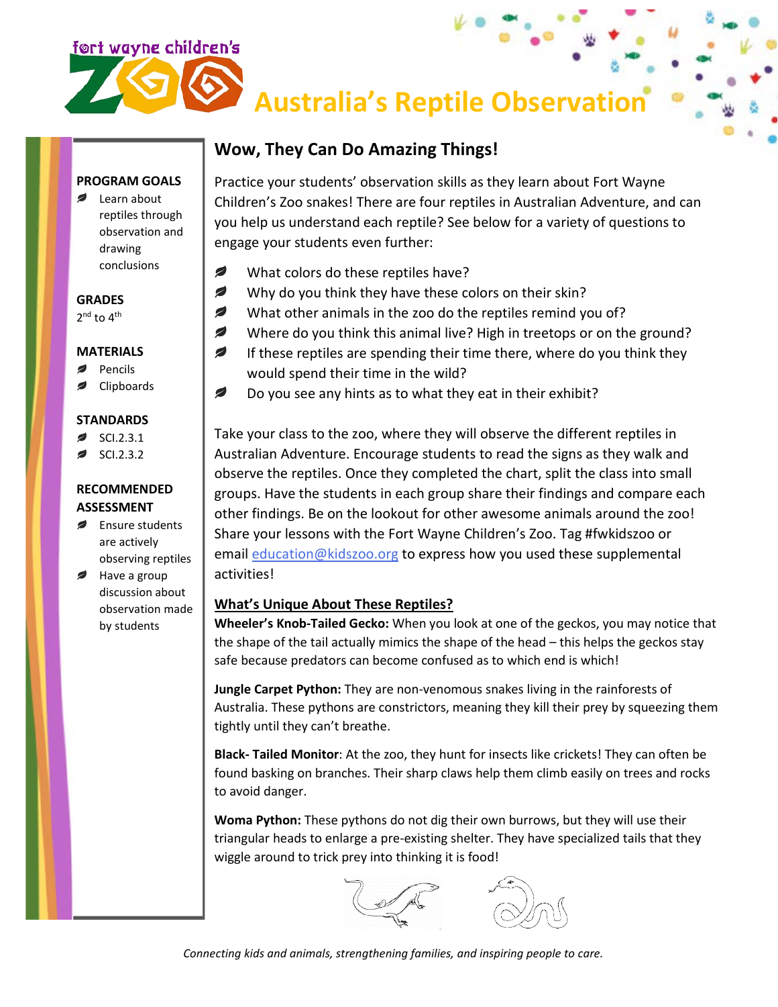

observation and

drawing conclusions

# **Australia's Reptile Observation**

# **Wow, They Can Do Amazing Things!**

Practice your students' observation skills as they learn about Fort Wayne Children's Zoo snakes! There are four reptiles in Australian Adventure, and can **PROGRAM GOALS ■** Learn about reptiles through

- you help us understand each reptile? See below for a variety of questions to engage your students even further:
- Ø What colors do these reptiles have?
- Ø Why do you think they have these colors on their skin?
- Ø What other animals in the zoo do the reptiles remind you of?
- ◢ Where do you think this animal live? High in treetops or on the ground?
- ◢ If these reptiles are spending their time there, where do you think they would spend their time in the wild?
- Ø Do you see any hints as to what they eat in their exhibit?

Take your class to the zoo, where they will observe the different reptiles in Australian Adventure. Encourage students to read the signs as they walk and observe the reptiles. Once they completed the chart, split the class into small groups. Have the students in each group share their findings and compare each other findings. Be on the lookout for other awesome animals around the zoo! Share your lessons with the Fort Wayne Children's Zoo. Tag #fwkidszoo or email [education@kidszoo.org](mailto:education@kidszoo.org) to express how you used these supplemental activities!

## **What's Unique About These Reptiles?**

**Wheeler's Knob-Tailed Gecko:** When you look at one of the geckos, you may notice that the shape of the tail actually mimics the shape of the head – this helps the geckos stay safe because predators can become confused as to which end is which!

**Jungle Carpet Python:** They are non-venomous snakes living in the rainforests of Australia. These pythons are constrictors, meaning they kill their prey by squeezing them tightly until they can't breathe.

**Black- Tailed Monitor**: At the zoo, they hunt for insects like crickets! They can often be found basking on branches. Their sharp claws help them climb easily on trees and rocks to avoid danger.

**Woma Python:** These pythons do not dig their own burrows, but they will use their triangular heads to enlarge a pre-existing shelter. They have specialized tails that they wiggle around to trick prey into thinking it is food!



*Connecting kids and animals, strengthening families, and inspiring people to care.*

#### **GRADES**

 $2^{nd}$  to  $4^{th}$ 

#### **MATERIALS**

- Pencils
- Clipboards

## **STANDARDS**

- SCI.2.3.1
- SCI.2.3.2

#### **RECOMMENDED ASSESSMENT**

- **Ensure students** are actively observing reptiles
- $\blacktriangleright$  Have a group discussion about observation made by students